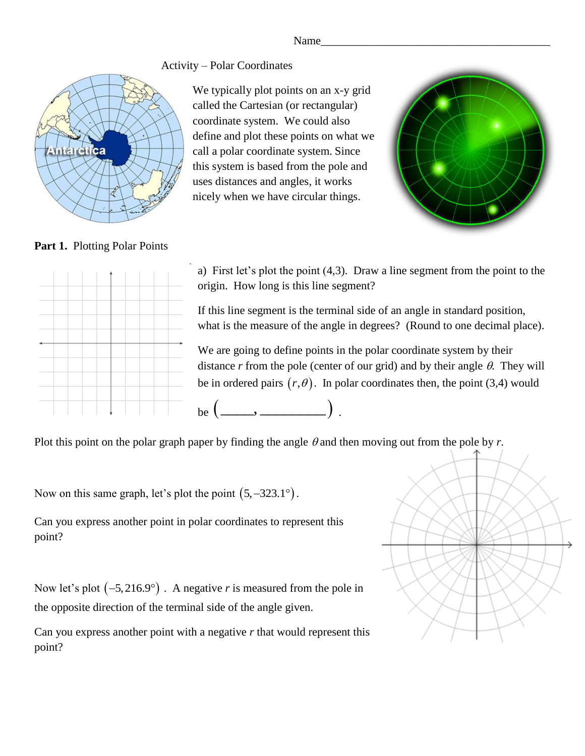Name\_\_\_\_\_\_\_\_\_\_\_\_\_\_\_\_\_\_\_\_\_\_\_\_\_\_\_\_\_\_\_\_\_\_\_\_\_\_\_\_

## Activity – Polar Coordinates



We typically plot points on an x-y grid called the Cartesian (or rectangular) coordinate system. We could also define and plot these points on what we call a polar coordinate system. Since this system is based from the pole and uses distances and angles, it works nicely when we have circular things.



## Part 1. Plotting Polar Points



a) First let's plot the point (4,3). Draw a line segment from the point to the origin. How long is this line segment?

If this line segment is the terminal side of an angle in standard position, what is the measure of the angle in degrees? (Round to one decimal place).

We are going to define points in the polar coordinate system by their distance  $r$  from the pole (center of our grid) and by their angle  $\theta$ . They will be in ordered pairs  $(r, \theta)$ . In polar coordinates then, the point (3,4) would

be  $(\_\_\_\_\$ ).

Plot this point on the polar graph paper by finding the angle  $\theta$  and then moving out from the pole by  $r$ .

Now on this same graph, let's plot the point  $(5, -323.1^{\circ})$ .

Can you express another point in polar coordinates to represent this point?

Now let's plot  $(-5, 216.9^\circ)$ . A negative *r* is measured from the pole in the opposite direction of the terminal side of the angle given.

Can you express another point with a negative *r* that would represent this point?

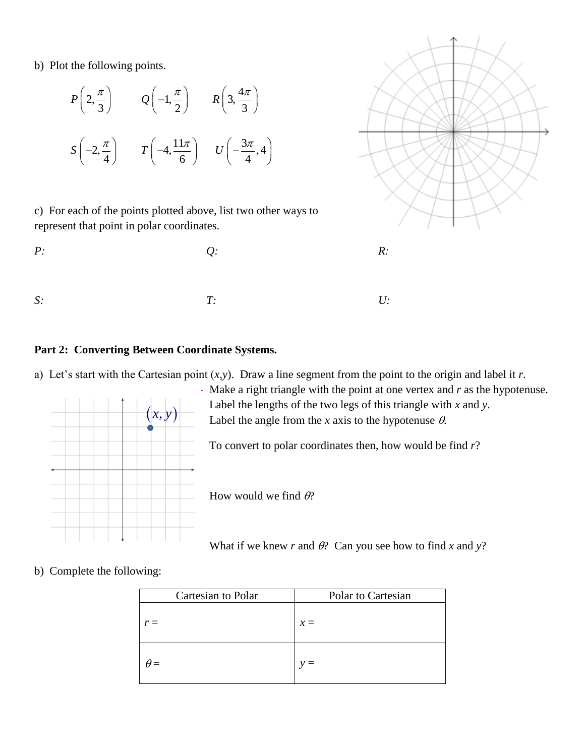b) Plot the following points.

$$
P\left(2, \frac{\pi}{3}\right) \qquad Q\left(-1, \frac{\pi}{2}\right) \qquad R\left(3, \frac{4\pi}{3}\right)
$$

$$
S\left(-2, \frac{\pi}{4}\right) \qquad T\left(-4, \frac{11\pi}{6}\right) \qquad U\left(-\frac{3\pi}{4}, 4\right)
$$

c) For each of the points plotted above, list two other ways to represent that point in polar coordinates.





## **Part 2: Converting Between Coordinate Systems.**

a) Let's start with the Cartesian point  $(x, y)$ . Draw a line segment from the point to the origin and label it *r*.



Make a right triangle with the point at one vertex and *r* as the hypotenuse. Label the lengths of the two legs of this triangle with *x* and *y*. Label the angle from the *x* axis to the hypotenuse  $\theta$ .

To convert to polar coordinates then, how would be find *r*?

How would we find  $\theta$ ?

What if we knew *r* and  $\theta$ ? Can you see how to find *x* and *y*?

b) Complete the following:

| Cartesian to Polar | Polar to Cartesian |
|--------------------|--------------------|
| $r =$              | $x =$              |
| $\theta =$         |                    |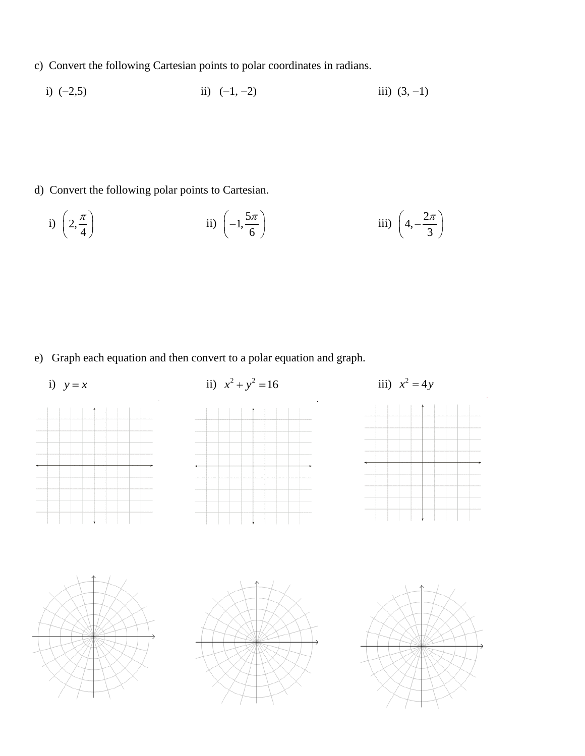- c) Convert the following Cartesian points to polar coordinates in radians.
	- i)  $(-2,5)$  iii)  $(-1, -2)$  iii)  $(3, -1)$

- d) Convert the following polar points to Cartesian.
- i) 2, 4  $\left( \begin{array}{c} \Omega \\ \Omega \end{array} \right)$  $\left(\frac{2}{4}\right)$ ii)  $\left(-1, \frac{5}{1}\right)$ 6  $\left(-1,\frac{5\pi}{6}\right)$ iii)  $\left(4, -\frac{2}{\epsilon}\right)$ 3  $\left(4, -\frac{2\pi}{3}\right)$

e) Graph each equation and then convert to a polar equation and graph.